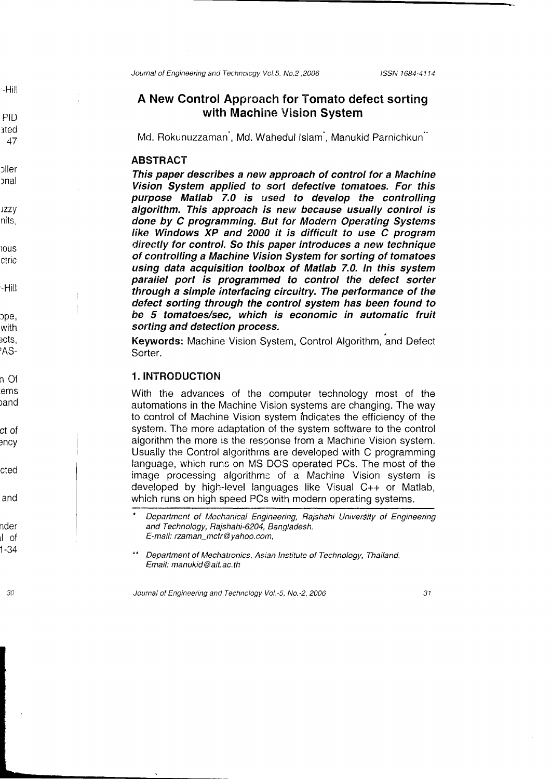-Hill

PID ated 47

rller rnal

)zzy nits

l0us ctric

-Hill

ope, with )CIS, ,AS-

n Of ems land

ct of ency

cted

and

nder rl of 1-34

'30

Journal of Engineering and Technology Vol.5, No.2, 2006 lSSN 1684-4114

# A New Control Approach for Tomato defect sorting with Machine Vision System

Md. Rokunuzzaman, Md. Wahedul Islam, Manukid Parnichkun

## **ABSTRACT**

This paper describes a new approach of control for a Machine Vision System applied to sorl defective tomatoes. For this purpose Matlab 7.0 is used to develop the controlling algorithm. This approach is new because usually control is done by C programming. But for Modern Operating Sysfems like Windows XP and 2000 it is difficult to use C program directly for control. So this paper introduces a new technique of controlling a Machine Vision System for sorting of tomatoes using data acquisition toolbox of Matlab 7.0. ln this system parallel port is programmed to control the defect sorter through a simple interfacing circuitry. The performance of the defeet sorting through the control system has been found to be 5 tomatoes/sec, which is economic in automatic fruit sorting and detection process.

Keywords: Machine Vision System, Control Algorithm, and Defect Sorter.

## 1. INTRODUCTION

With the advances of the computer technology most of the automations in the Machine Vision systems are changing. The way to control of Machine Vision system ihdicates the efficiency of the system. The more adaptation of the system software to the control algorithm the more is the response from a Machine Vision system. Usually the Control alqorithrns are developed with C programming language, which runs on MS DCS operated PCs. The most of the image processing algorithms of a Machine Vision system is developed by high-level languages like Visual C++ or Matlab, which runs on high speed PCs with modern operating systems.

Journal of Engineering and Technology Vol.-5, No.-2, 2006

Department of Mechanical Engineering, Rajshahi University of Engineering and Technology, Rajshahi-6204, Bangiadesh. E-mail: rzaman mctr@ yahoo.com,

Department of Mechatronics, Asian Institute of Technology, Thailand. Ernail: manukid @ ait. ac.th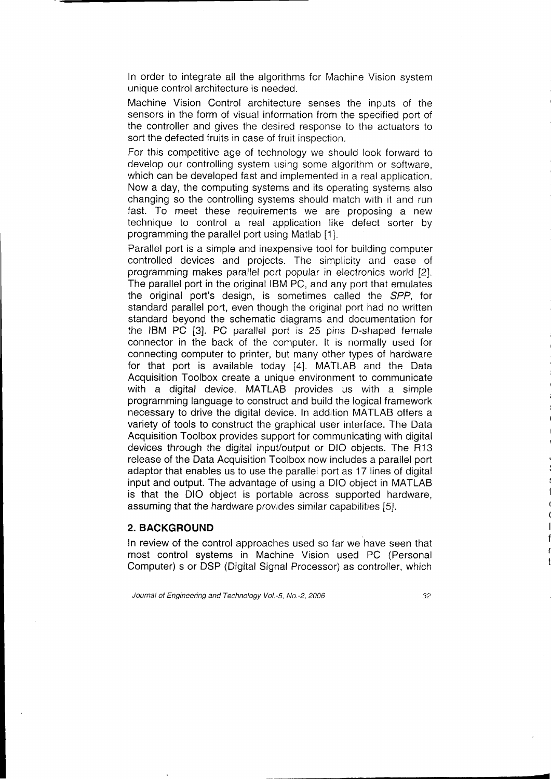In order to integrate all the algorithms for Machine Vision system unique control architecture is needed.

Machine Vision Control architecture senses the inputs of the sensors in the form of visual information from the specified port of the controller and gives the desired response io the actuators to sort the defected fruits in case of fruit insoection.

For this competitive age of technology we should look forward to develop our controlling system using some algorithm or software, which can be developed fast and implemented in a real application. Now a day, the computing systems and its operating systems also changing so the controlling systems should match with it and run fast. To meet these requirements we are proposing a new technique to control a real application like defect sorter by programming the parallel port using Matlab [1].

Parallel port is a simple and inexpensive tool for building computer controlled devices and projects. The simplicity and ease of programming makes parallel port popular in electronics world [2]. The parallel port in the original IBM PC, and any port that emulates the original port's design, is sometimes called the SPP, for standard parallel port, even though the original port had no written standard beyond the schematic diagrams and documentation for the IBM PC [3]. PC parallel port is 25 pins D-shaped female connector in the back of the computer. lt is normally used for connecting computer to printer, but many other types of hardware for that port is available today [4]. MATLAB and the Data Acquisition Toolbox create a unique environment to communicate with a digital device. MATLAB provides us with a simple programming language to construct and build the logical framework necessary to drive the digital device. In addition MATLAB offers a variety of tools to construct the graphical user interface. The Data Acquisition Toolbox provides support for communicating with digital devices through the digital inpuVoutput or DIO objects. The R13 release of the Data Acquisition Toolbox now includes a parallel port adaptor that enables us to use the parallel port as 17 lines of digital input and output. The advantage of using a DIO object in MATLAB is that the DIO object is portable across supported hardware, assuming that the hardware provides similar capabilities [5].

#### 2. BACKGROUND

In review of the control approaches used so far we have seen that most control systems in Machine Vision used PC (Personal Computer) s or DSP (Digital Signal Processor) as controller, which

Journal of Engineering and Technology Vol.-5, No.-2, 2006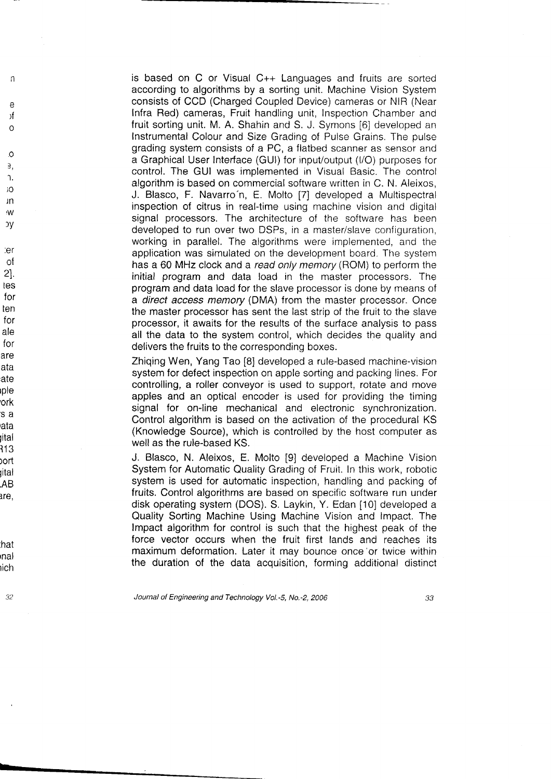is based on C or Visual C++ Languages and fruits are sorted according to algorithms by a sorting unit. Machine Vision System consists of CCD (Charged Coupled Device) cameras or NIR (Near Infra Red) cameras, Fruit handling unit, Inspection Chamber and fruit sorting unit. M. A. Shahin and S. J. Symons [6] developed an Instrumental Colour and Size Grading of Pulse Grains. The pulse grading system consists of a PC, a flatbed scanner as sensor and a Graphical User Interface (GUl) for inpuVoutput (l/O) purposes ior control. The GUI was implemented in Visual Basic. The control algorithm is based on commercial software written in C. N. Aleixos, J. Blasco, F. Navarro'n, E. Molto [7] developed a Multispectral inspection of citrus in real-time using machine vision and digital signal processors. The architecture of the software has been developed to run over two DSPs, in a master/slave configuration, working in parallel. The algorithms were implemented, and the application was simulated on the development board. The system has a 60 MHz clock and a read only memory (ROM) to perform the initial program and data load in the master processors. The program and data load for the slave processor is done by means of a direct access memory (DMA) from the master processor. Once the master processor has sent the last strip of the fruit to the slave processor, it awaits for the results of the surface analysis to pass all the data to the system control, which decides the quality and delivers the fruits to the corresponding boxes.

 $\Omega$  $\mathfrak{Z}$ . '1. io ln

 $\sqrt{ }$ 

 $\theta$ λf  $\Omega$ 

e オ o<br>ミ o s, r, io m w y

:er o{ 21. tes for ten for ale for are ata ate ıple 'ork 5 a rata yital 113 <sub>o</sub>ort Jital .AB are,

'W οу

hat rnal rich

32

Zhiqing Wen, Yang Tao [8] developed a rule-based machine-vision system for defect inspection on apple sorting and packing lines. For controlling, a roller conveyor is used to support, rotate and move apples and an optical encoder is used for providing the timing signal for on-line mechanical and electronic synchronization. Control algorithm is based on the activation of the procedural KS (Knowledge Source), which is controlled by the host computer as well as the rule-based KS.

J. Blasco, N. Aleixos, E. Molto [9] developed a Machine Vision System for Automatic Quality Grading of Fruit. In this work, robotic system is used for automatic inspection, handling and packing of fruits. Control algorithms are based on specific software run under disk operating system (DOS). S. Laykin, Y. Edan [10] developed a Quality Sorting Machine Using Machine Vision and lmpact. The lmpact algorithm for control is such that the highest peak of the force vector occurs when the fruit first lands and reaches its maximum deformation. Later it may bounce once'or twice within the duration of the data acquisition, forming additional distinct

Journal of Engineering and Technology Vol.-5, No.-2, 2006 33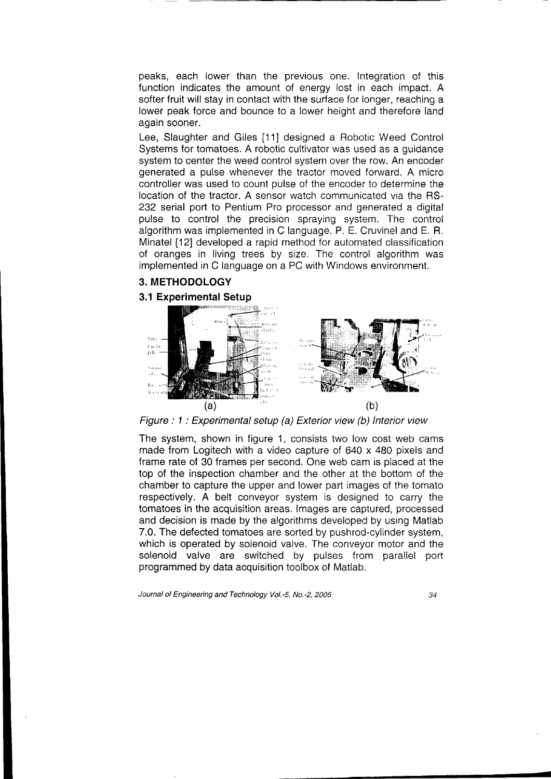peaks, each lower than the previous one. Integration of this function indicates the amount of energy lost in each impact. A softer fruit will stay in contact with the surface for longer, reaching a lower peak force and bounce to a lower height and therefore land again sooner.

Lee, Slaughter and Giles [11] designed a Robotic Weed Control Systems for tomatoes. A robotic cultivator was used as a guidance system to center the weed control system over the row. An encoder generated a pulse whenever the tractor moved forward. A micro controller was used to count pulse of the encoder to determine the location of the tractor. A sensor watch communicated via the RS-232 serial port to Pentium Pro processor and generated a digital pulse to control the precision spraying system. The control algorithm was implemented in C language. P. E. Cruvinel and E. R. Minatel [12] developed a rapid method for automated classification of oranges in living trees by size. The control algorithm was implemented in C language on a PC with Windows environment.

## 3. METHODOLOGY

### 3.1 Experimental Setup



Figure : 1 : Experimental setup (a) Exterior view (b) lnterior view

The system, shown in figure 1, consists two low cost web cams made from Logitech with a video capture of 640 x 480 pixels and frame rate of 30 frames per second. One web cam is placed at the top of the inspection chamber and the other at the bottom of the chamber to capture the upper and lower part images of the tomato respectively. A belt conveyor system is designed to carry the tomatoes in the acquisition areas. lmages are captured, processed and decision is made by the algorithms developed by using Matlab 7.0. The defected tomatoes are sorted by pushrod-cylinder system, which is operated by solenoid valve. The conveyor motor and the solenoid valve are switched by pulses from parallel port programmed by data acquisition toolbox of Matlab.

Journal of Engineering and Technology Vol.-5, No.-2, 2006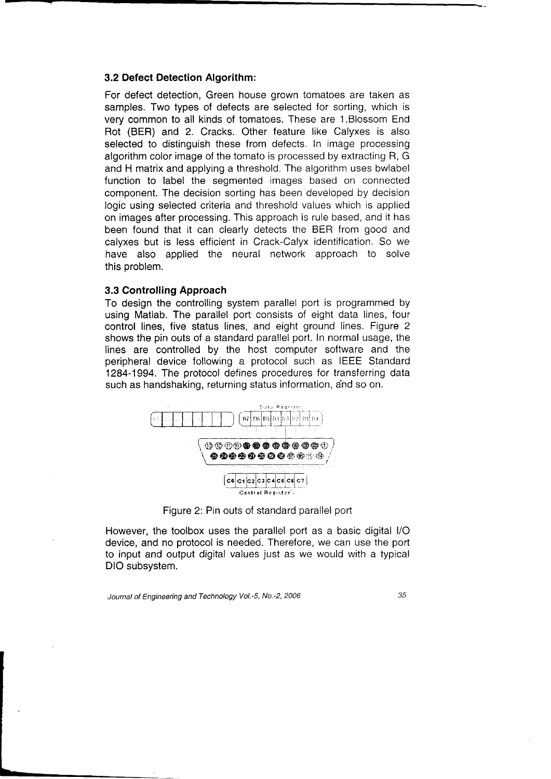#### 3.2 Defect Detection Algorithm:

For defect detection, Green house grown tomatoes are taken as samples. Two types of defects are selected for sorting, which is very common to all kinds of tomatoes. These are 1.Blossom End Rot (BER) and 2. Cracks. Other feature like Calyxes is also selected to distinguish these from defects. In image processing algorithm color image of the tomato is processed by extracting R, G and H matrix and applying a threshold. The algorithm uses bwlabel function to label the segmented images based on connected component. The decision sorting has been developed by decision logic using selected criteria and threshold values which is applied on images after processing. This approach is rule based, and it has been found that it can clearly detects the BER from good and calyxes but is less efficient in Crack-Calyx identification. So we have also applied the neural network approach to solve this problem.

### 3.3 Controlling Approach

To design the controlling system parallel port is programmed by using Matlab. The parallel port consists of eight data lines, four control lines, five status lines, and eight ground lines. Figure 2 shows the pin outs of a standard parallel port. In normal usage, the lines are controlled by the host computer software and the peripheral device following a protocol such as IEEE Standard 1284-1994. The protocol defines procedures for transferring data such as handshaking, returning status information, and so on.



Figure 2: Pin outs of standard parallel port

However, the toolbox uses the parallel port as a basic digital l/O device, and no protocol is needed. Therefore, we can use the port to input and output digital values just as we would with a typical DIO subsystem.

Journal of Engineering and Technology Vol.-5, No.-2, 2006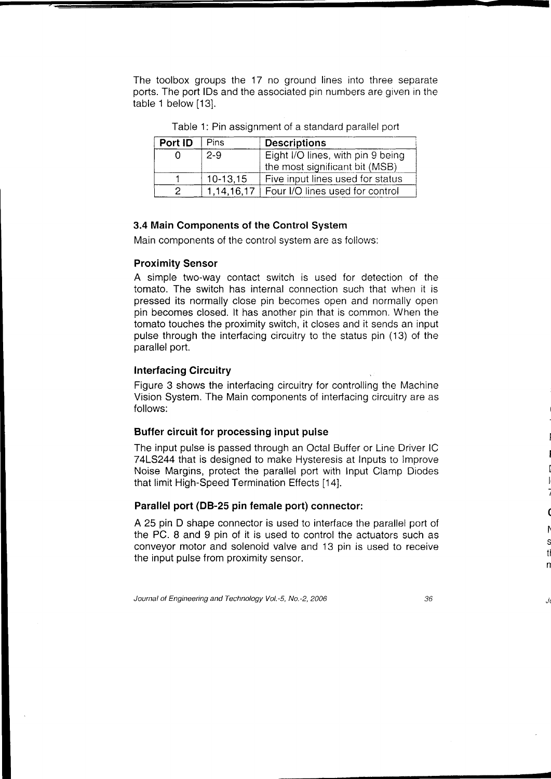The toolbox groups the 17 no ground lines into three separate ports. The port lDs and the associated pin numbers are given in the table 1 below [13].

| Port ID | Pins       | <b>Descriptions</b>               |  |  |
|---------|------------|-----------------------------------|--|--|
|         | $2 - 9$    | Eight I/O lines, with pin 9 being |  |  |
|         |            | the most significant bit (MSB)    |  |  |
|         | $10-13,15$ | Five input lines used for status  |  |  |
|         | 1.14.16.17 | Four I/O lines used for control   |  |  |

Table 1: Pin assignment of a standard parallel port

## 3.4 Main Components of the Control System

Main components of the control system are as follows:

### Proximity Sensor

A simple two-way contact switch is used for detection of the tomato. The switch has internal connection such that when it is pressed its normally close pin becomes open and normally open pin becomes closed. lt has another pin that is common. When the tomato touches the proximity switch, it closes and it sends an input pulse through the interfacing circuitry to the status pin (13) of the parallel port.

## Interfacing Circuitry

Figure 3 shows the interfacing circuitry for controlling the Machine Vision System. The Main components of interfacing circuitry are as follows:

## Buffer circuit for processing input pulse

The input pulse is passed through an Octal Buffer or Line Driver lC 74L5244 that is designed to make Hysteresis at lnputs to lmprove Noise Margins, protect the parallel port with Input Clamp Diodes that limit High-Speed Termination Effects [14].

## Parallel port (DB-25 pin female port) connector:

A 25 pin D shape connector is used to interface the parallel port of the PC. 8 and 9 pin of it is used to control the actuators such as conveyor motor and solenoid valve and 13 pin is used to receive the input pulse from proximity sensor.

Journal of Engineering and Technology Vol.-S, No.-2,2006

36

I I

-

( t\ S TI n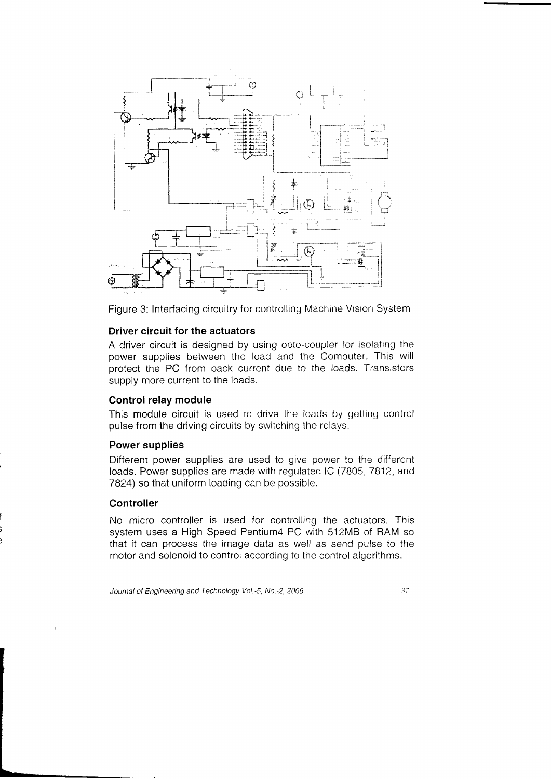

Figure 3: Interfacing circuitry for controlling Machine Vlsion System

## Driver circuit for the actuators

A driver circuit is designed by using opto-coupler for isolating the power supplies between the load and the Computer. This will protect the PC from back current due to the loads. Transistors supply more current to the loads.

### Control relay module

This module circuit is used to drive the loads by getting control pulse from the driving circuits by switching the relays.

## Power supplies

Different power supplies are used to give power to the different loads. Power supplies are made with regulated lC (7805, 7812, and 7824) so that uniform loading can be possible.

## Controller

No micro controller is used for controlling the actuators. This system uses a High Speed Pentium4 PC with 512M8 of RAM so that it can process the image data as well as send pulse to the motor and solenoid to control accordinq to the control algorithms.

Journal of Engineering and Technology Vol.-5, No.-2, 2006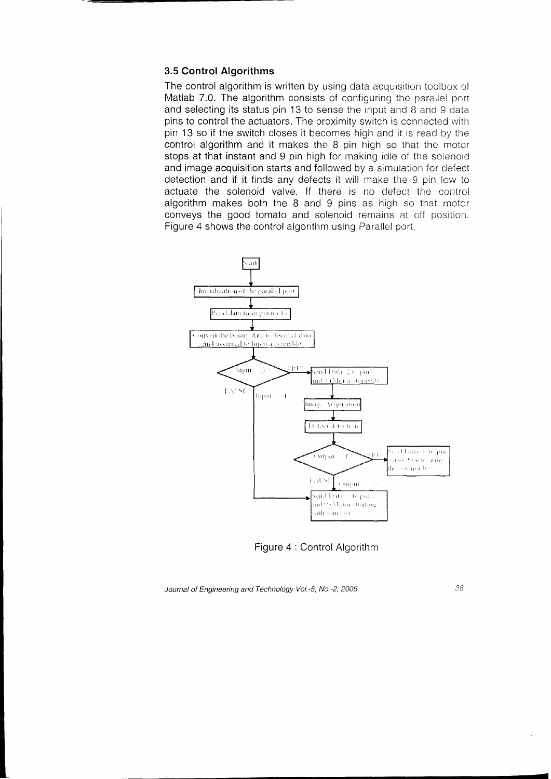### 3.5 Control Algorithms

The control algorithm is written by using data acquisition toolbox of Matlab 7.0. The algorithm consists of configuring the parallel port and selecting its status pin 13 to sense the input and 8 and 9 data. pins to control the actuators. The proximity switch is connected with pin 13 so if the switch closes it becomes high and it is read by the control algorithm and it makes the 8 pin high so that the motor stops at that instant and 9 pin high for making idle of the solenoid and image acquisition starts and followed by a simulation for defect detection and if it finds any defects it will make the 9 pin low to actuate the solenoid valve. If there is no defect the control algorithm makes both the  $8$  and  $9$  pins as high so that motor conveys the good tomato and solenoid remains at off position. Figure 4 shows the control algorithm using Parallel port.



Figure 4 : Control Algorithm

Journal of Engineering and Technology Vol.-5, No.-2, 2006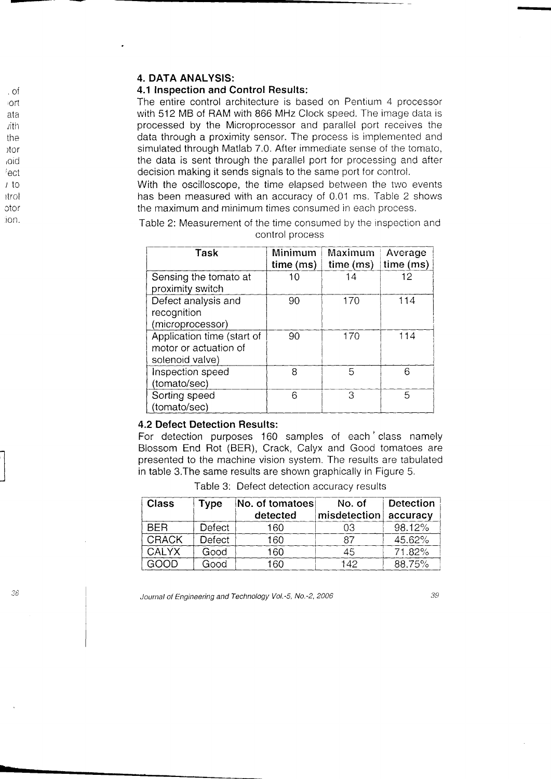## 4. DATA ANALYSIS:

## 4.1 Inspection and Control Results:

The entire control architecture is based on Pentium 4 processor with 512 MB of RAM with 866 MHz Clock speed. The image data is processed by the Microprocessor and paraliel port receives the data through a proximity sensor. The process is implemented and simulated through Matlab 7.0. After immediate sense of the tomato, the data is sent through the parallel port for processing and after decision making it sends signals to the same port for control.

With the oscilloscope, the time elapsed between the two events has been measured with an accuracy of 0.01 ms. Table 2 shows the maximum and minimum times consumed in each process.

| Table 2: Measurement of the time consumed by the inspection and |                 |  |  |
|-----------------------------------------------------------------|-----------------|--|--|
|                                                                 | control process |  |  |

| Task                       | Minimum<br>time (ms) | Maximum<br>time(ms) | Average<br>time (ms) |
|----------------------------|----------------------|---------------------|----------------------|
| Sensing the tomato at      | 10                   | 14                  | 12                   |
| proximity switch           |                      |                     |                      |
| Defect analysis and        | 90                   | 170                 | 114                  |
| recognition                |                      |                     |                      |
| (microprocessor)           |                      |                     |                      |
| Application time (start of | 90                   | 170                 | 114                  |
| motor or actuation of      |                      |                     |                      |
| solenoid valve)            |                      |                     |                      |
| Inspection speed           | 8                    | 5                   | 6                    |
| (tomato/sec)               |                      |                     |                      |
| Sorting speed              | 6                    | З                   | 5                    |
| (tomato/sec)               |                      |                     |                      |

#### 4.2 Defect Detection Results:

**F. Detect Detection riesures.**<br>For detection purposes 160 samples of each class namely Blossom End Rot (BER), Crack, Calyx and Good iomatoes are presented to the machine vision system. The results are tabulated in table 3.The same results are shown oraphically in Figure 5.

Table 3: Defect detection accuracy results

| <b>Class</b> | Type   | No. of tomatoes<br>detected | No. of<br>misdetection | <b>Detection</b><br>accuracy |
|--------------|--------|-----------------------------|------------------------|------------------------------|
| <b>BFR</b>   | Defect | 160                         | 03                     | $98.12\%$                    |
| <b>CRACK</b> | Defect | 160                         | 87                     | $45.62\%$                    |
| <b>CALYX</b> | Good   | 160                         | 45                     | 71.82%                       |
| GOOD         | Good   | 160                         | 142                    | 88.75%                       |

Journal of Engineering and Technology Vol.-5, No.-2, 2006

39

-

3t

.of oi'l ata /iin the Itor ,oid fect /to lirol otot' ron.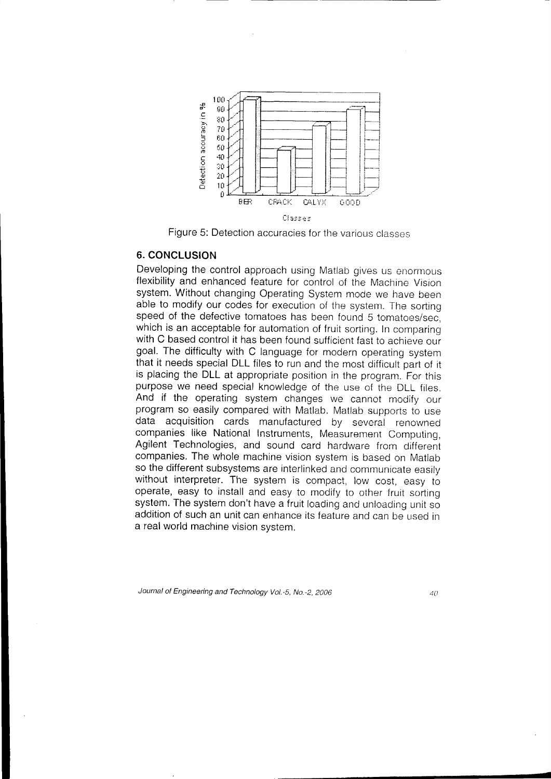

Figure 5: Detection accuracies for the various classes

## 6. CONCLUSION

Developing the control approach using Matlab gives us enormous flexibility and enhanced feature for control of the Machine Vision system. Without changing Operating System mode we have been able to modify our codes for execution of the system. The sorting speed of the defective tomatoes has been found 5 tomatoes/sec, which is an acceptable for automation of fruit sorting. In comparing with C based control it has been found sufficient fast to achieve our goal. The difficulty with C language for modern operaiing sysiem that it needs special DLL files to run and the most difficult part of it is placing the DLL at appropriate position in the program. For this purpose we need special knowledge of the use of the DLL files. And if the operating system changes we cannot modify our program so easily compared with Matlab. Matlab supports to use data acquisition cards manufactured by several renowned companies like National Instruments, Measurement Computing, Agilent Technologies, and sound card hardware from different companies. The whole machine vision system is based on Matlab so the different subsystems are interlinked and communicate easily without interpreter. The system is compact, low cost, easy to operate, easy to install and easy to modify to other fruit sorting system. The system don't have a fruit loading and unloading unit so addition of such an unit can enhance its feature and can be used in a realworld machine vision svstem.

Journal of Engineering and Technology Vol.-5, No.-2, 2006

 $40^{\circ}$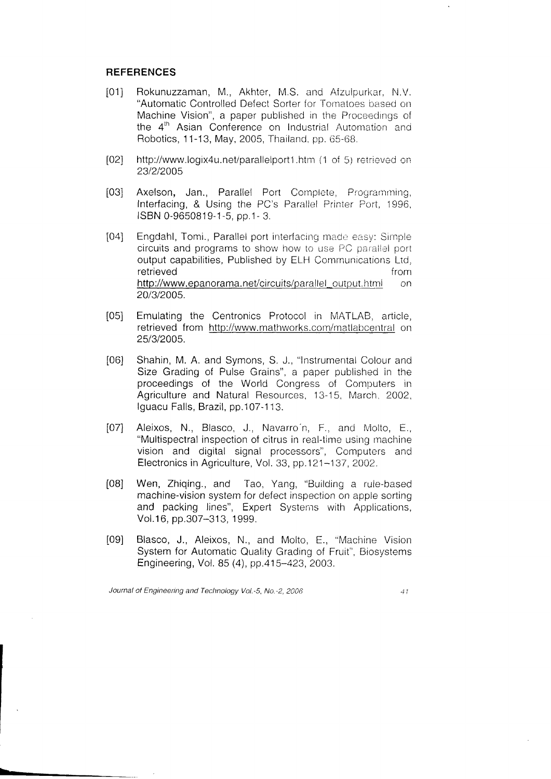## **REFERENCES**

- Rokunuzzaman, M., Akhter, M.S. and Afzulpurkar, N.V.  $[01]$ "Automatic Controlled Defect Sorter for Tomatoes based on Machine Vision", a paper published in the Proceedings of the 4<sup>th</sup> Asian Conference on Industrial Automation and Robotics, 11-13, May, 2005, Thailand, pp. 65-68.
- $[02]$ http://www.logix4u.net/parallelport1.htm (1 of 5) retrieved on 23/2/2005
- $[03]$ Axelson, Jan., Parallel Port Complete, Programming, Interfacing, & Using the PC's Parallel Printer Port, 1996, ISBN 0-9650819-1-5, pp.1-3.
- $[04]$ Engdahl, Tomi., Parallel port interfacing made easy: Simple circuits and programs to show how to use PC parallel port output capabilities, Published by ELH Communications Ltd. retrieved from http://www.epanorama.net/circuits/parallel\_output.html  $\Omega$ 20/3/2005.
- $[05]$ Emulating the Centronics Protocol in MATLAB, article, retrieved from http://www.mathworks.com/matlabcentral on 25/3/2005.
- $[06]$ Shahin, M. A. and Symons, S. J., "Instrumental Colour and Size Grading of Pulse Grains", a paper published in the proceedings of the World Congress of Computers in Agriculture and Natural Resources, 13-15, March, 2002, Iguacu Falls, Brazil, pp.107-113.
- Aleixos, N., Blasco, J., Navarro'n, F., and Molto, E.,  $[07]$ "Multispectral inspection of citrus in real-time using machine vision and digital signal processors", Computers and Electronics in Agriculture, Vol. 33, pp.121-137, 2002.
- $[08]$ Wen, Zhiqing., and Tao, Yang, "Building a rule-based machine-vision system for defect inspection on apple sorting and packing lines", Expert Systems with Applications, Vol.16, pp.307-313, 1999.
- Blasco, J., Aleixos, N., and Molto, E., "Machine Vision  $[09]$ System for Automatic Quality Grading of Fruit", Biosystems Engineering, Vol. 85 (4), pp.415-423, 2003.

Journal of Engineering and Technology Vol.-5, No.-2, 2006